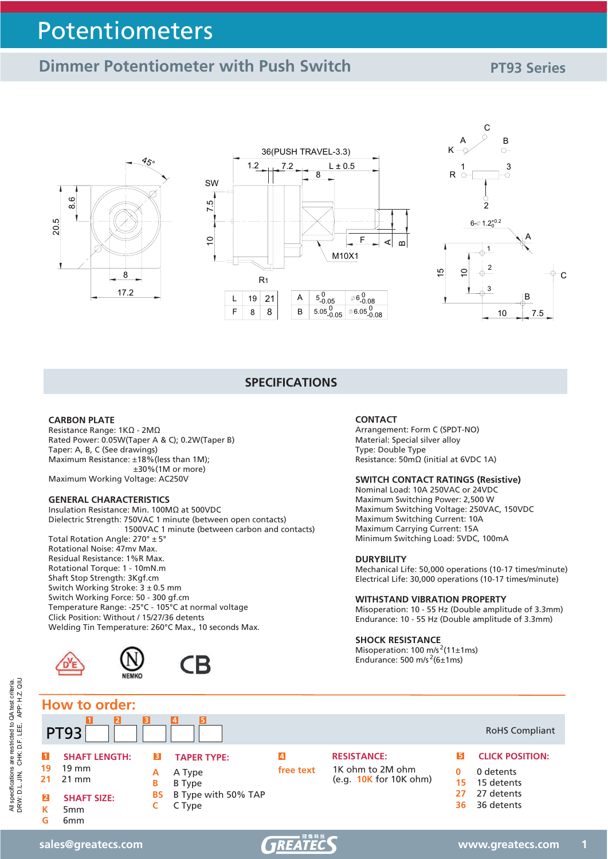### **Dimmer Potentiometer with Push Switch**  PT93 Series







#### **SPECIFICATIONS**

#### **CARBON PLATE**

Resistance Range:  $1K\Omega$  - 2M $\Omega$ Rated Power: 0.05W(Taper A & C); 0.2W(Taper B) Taper: A, B, C (See drawings) Maximum Resistance: ±18%(less than 1M); ±30%(1M or more) Maximum Working Voltage: AC250V

#### **GENERAL CHARACTERISTICS**

Insulation Resistance: Min. 100M $\Omega$  at 500VDC Dielectric Strength: 750VAC 1 minute (between open contacts) 1500VAC 1 minute (between carbon and contacts) Total Rotation Angle: 270° ± 5° Rotational Noise: 47mv Max. Residual Resistance: 1%R Max. Rotational Torque: 1 - 10mN.m Shaft Stop Strength: 3Kgf.cm Switch Working Stroke: 3 ± 0.5 mm Switch Working Force: 50 - 300 gf.cm Temperature Range: -25°C - 105°C at normal voltage Click Position: Without / 15/27/36 detents Welding Tin Temperature: 260°C Max., 10 seconds Max.



#### **CONTACT**

Arrangement: Form C (SPDT-NO) Material: Special silver alloy Type: Double Type Resistance:  $50 \text{m}\Omega$  (initial at 6VDC 1A)

#### **SWITCH CONTACT RATINGS (Resistive)**

Nominal Load: 10A 250VAC or 24VDC Maximum Switching Power: 2,500 W Maximum Switching Voltage: 250VAC, 150VDC Maximum Switching Current: 10A Maximum Carrying Current: 15A Minimum Switching Load: 5VDC, 100mA

#### **DURYBILITY**

Mechanical Life: 50,000 operations (10-17 times/minute) Electrical Life: 30,000 operations (10-17 times/minute)

#### **WITHSTAND VIBRATION PROPERTY**

Misoperation: 10 - 55 Hz (Double amplitude of 3.3mm) Endurance: 10 - 55 Hz (Double amplitude of 3.3mm)

#### **SHOCK RESISTANCE**

Misoperation: 100 m/s<sup>2</sup>(11±1ms) Endurance: 500 m/s<sup>2</sup>(6±1ms)